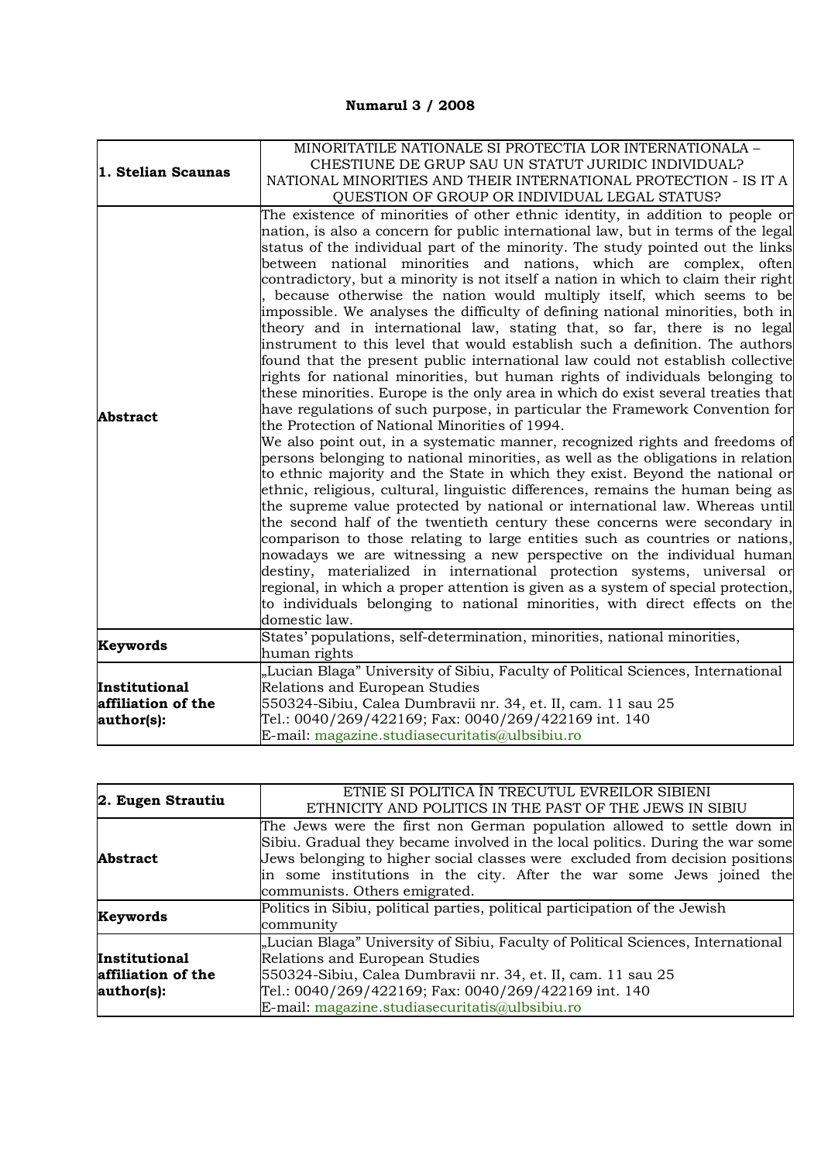## **Numarul 3 / 2008**

|                    | MINORITATILE NATIONALE SI PROTECTIA LOR INTERNATIONALA -                                                                                                         |
|--------------------|------------------------------------------------------------------------------------------------------------------------------------------------------------------|
| 1. Stelian Scaunas | CHESTIUNE DE GRUP SAU UN STATUT JURIDIC INDIVIDUAL?                                                                                                              |
|                    | NATIONAL MINORITIES AND THEIR INTERNATIONAL PROTECTION - IS IT A                                                                                                 |
|                    | QUESTION OF GROUP OR INDIVIDUAL LEGAL STATUS?                                                                                                                    |
|                    | The existence of minorities of other ethnic identity, in addition to people or                                                                                   |
|                    | nation, is also a concern for public international law, but in terms of the legal                                                                                |
|                    | status of the individual part of the minority. The study pointed out the links                                                                                   |
|                    | between national minorities and nations, which are complex, often                                                                                                |
|                    | contradictory, but a minority is not itself a nation in which to claim their right                                                                               |
|                    | because otherwise the nation would multiply itself, which seems to be                                                                                            |
|                    | impossible. We analyses the difficulty of defining national minorities, both in                                                                                  |
|                    | theory and in international law, stating that, so far, there is no legal                                                                                         |
|                    | instrument to this level that would establish such a definition. The authors                                                                                     |
|                    | found that the present public international law could not establish collective<br>rights for national minorities, but human rights of individuals belonging to   |
|                    | these minorities. Europe is the only area in which do exist several treaties that                                                                                |
|                    | have regulations of such purpose, in particular the Framework Convention for                                                                                     |
| <b>Abstract</b>    | the Protection of National Minorities of 1994.                                                                                                                   |
|                    | We also point out, in a systematic manner, recognized rights and freedoms of                                                                                     |
|                    | persons belonging to national minorities, as well as the obligations in relation                                                                                 |
|                    | to ethnic majority and the State in which they exist. Beyond the national or                                                                                     |
|                    | ethnic, religious, cultural, linguistic differences, remains the human being as                                                                                  |
|                    | the supreme value protected by national or international law. Whereas until                                                                                      |
|                    | the second half of the twentieth century these concerns were secondary in                                                                                        |
|                    | comparison to those relating to large entities such as countries or nations,                                                                                     |
|                    | nowadays we are witnessing a new perspective on the individual human                                                                                             |
|                    | destiny, materialized in international protection systems, universal or                                                                                          |
|                    | regional, in which a proper attention is given as a system of special protection,<br>to individuals belonging to national minorities, with direct effects on the |
|                    | domestic law.                                                                                                                                                    |
|                    | States' populations, self-determination, minorities, national minorities,                                                                                        |
| Keywords           | human rights                                                                                                                                                     |
|                    | "Lucian Blaga" University of Sibiu, Faculty of Political Sciences, International                                                                                 |
| Institutional      | Relations and European Studies                                                                                                                                   |
| affiliation of the | 550324-Sibiu, Calea Dumbravii nr. 34, et. II, cam. 11 sau 25                                                                                                     |
| author(s):         | Tel.: 0040/269/422169; Fax: 0040/269/422169 int. 140                                                                                                             |
|                    | E-mail: magazine.studiasecuritatis@ulbsibiu.ro                                                                                                                   |

| 2. Eugen Strautiu                                 | ETNIE SI POLITICA ÎN TRECUTUL EVREILOR SIBIENI<br>ETHNICITY AND POLITICS IN THE PAST OF THE JEWS IN SIBIU                                                                                                                                                                                                                                           |
|---------------------------------------------------|-----------------------------------------------------------------------------------------------------------------------------------------------------------------------------------------------------------------------------------------------------------------------------------------------------------------------------------------------------|
| <b>Abstract</b>                                   | The Jews were the first non German population allowed to settle down in<br>Sibiu. Gradual they became involved in the local politics. During the war some<br>Jews belonging to higher social classes were excluded from decision positions<br>in some institutions in the city. After the war some Jews joined the<br>communists. Others emigrated. |
| Keywords                                          | Politics in Sibiu, political parties, political participation of the Jewish<br>community                                                                                                                                                                                                                                                            |
| Institutional<br>affiliation of the<br>author(s): | "Lucian Blaga" University of Sibiu, Faculty of Political Sciences, International<br>Relations and European Studies<br>550324-Sibiu, Calea Dumbravii nr. 34, et. II, cam. 11 sau 25<br>Tel.: 0040/269/422169; Fax: 0040/269/422169 int. 140<br>E-mail: magazine.studiasecuritatis@ulbsibiu.ro                                                        |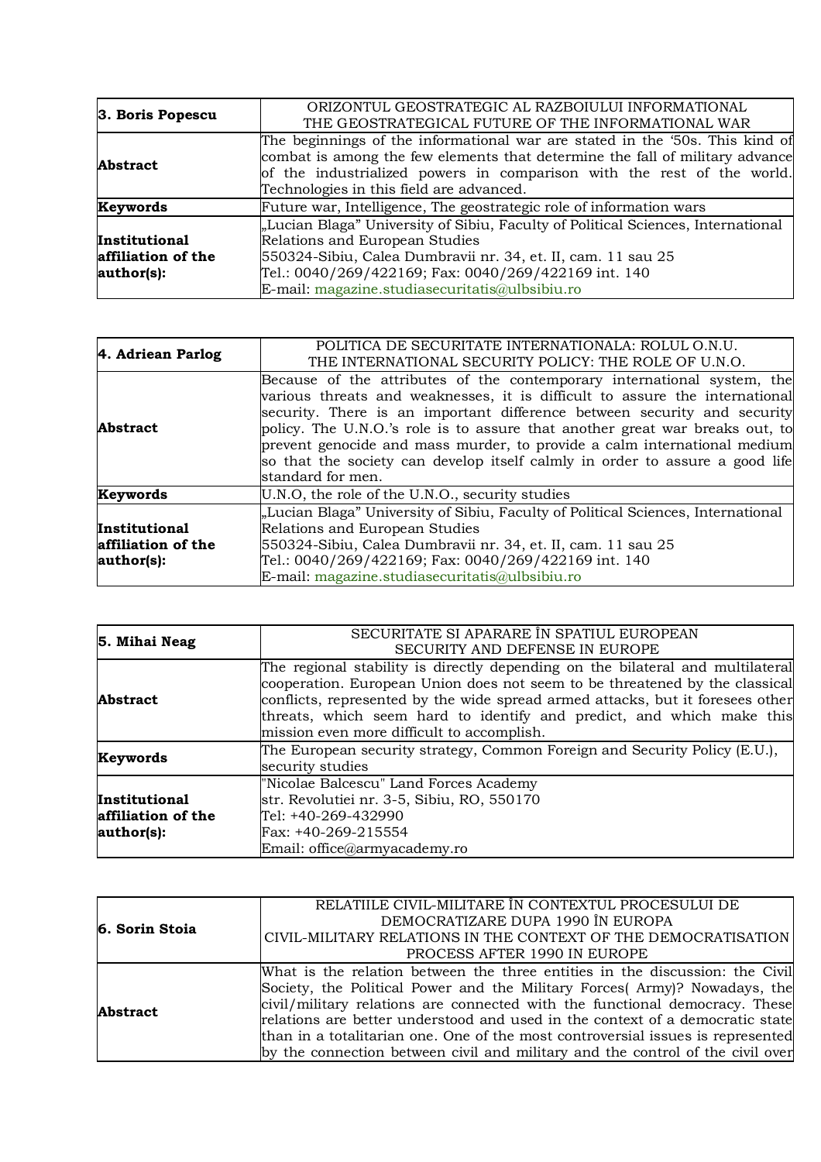| 3. Boris Popescu                                  | ORIZONTUL GEOSTRATEGIC AL RAZBOIULUI INFORMATIONAL<br>THE GEOSTRATEGICAL FUTURE OF THE INFORMATIONAL WAR                                                                                                                                                                                     |
|---------------------------------------------------|----------------------------------------------------------------------------------------------------------------------------------------------------------------------------------------------------------------------------------------------------------------------------------------------|
| <b>Abstract</b>                                   | The beginnings of the informational war are stated in the '50s. This kind of<br>combat is among the few elements that determine the fall of military advance<br>of the industrialized powers in comparison with the rest of the world.<br>Technologies in this field are advanced.           |
| Keywords                                          | Future war, Intelligence, The geostrategic role of information wars                                                                                                                                                                                                                          |
| Institutional<br>affiliation of the<br>author(s): | "Lucian Blaga" University of Sibiu, Faculty of Political Sciences, International<br>Relations and European Studies<br>550324-Sibiu, Calea Dumbravii nr. 34, et. II, cam. 11 sau 25<br>Tel.: 0040/269/422169; Fax: 0040/269/422169 int. 140<br>E-mail: magazine.studiasecuritatis@ulbsibiu.ro |

| 4. Adriean Parlog                                        | POLITICA DE SECURITATE INTERNATIONALA: ROLUL O.N.U.<br>THE INTERNATIONAL SECURITY POLICY: THE ROLE OF U.N.O.                                                                                                                                                                                                                                                                                                                                                                                        |
|----------------------------------------------------------|-----------------------------------------------------------------------------------------------------------------------------------------------------------------------------------------------------------------------------------------------------------------------------------------------------------------------------------------------------------------------------------------------------------------------------------------------------------------------------------------------------|
| <b>Abstract</b>                                          | Because of the attributes of the contemporary international system, the<br>various threats and weaknesses, it is difficult to assure the international<br>security. There is an important difference between security and security<br>policy. The U.N.O.'s role is to assure that another great war breaks out, to<br>prevent genocide and mass murder, to provide a calm international medium<br>so that the society can develop itself calmly in order to assure a good life<br>standard for men. |
| Keywords                                                 | U.N.O, the role of the U.N.O., security studies                                                                                                                                                                                                                                                                                                                                                                                                                                                     |
| <b>Institutional</b><br>affiliation of the<br>author(s): | "Lucian Blaga" University of Sibiu, Faculty of Political Sciences, International<br>Relations and European Studies<br>550324-Sibiu, Calea Dumbravii nr. 34, et. II, cam. 11 sau 25<br>Tel.: 0040/269/422169; Fax: 0040/269/422169 int. 140<br>E-mail: magazine.studiasecuritatis@ulbsibiu.ro                                                                                                                                                                                                        |

| 5. Mihai Neag                                            | SECURITATE SI APARARE ÎN SPATIUL EUROPEAN<br>SECURITY AND DEFENSE IN EUROPE                                                                                                                                                                                                                                                                                            |
|----------------------------------------------------------|------------------------------------------------------------------------------------------------------------------------------------------------------------------------------------------------------------------------------------------------------------------------------------------------------------------------------------------------------------------------|
| <b>Abstract</b>                                          | The regional stability is directly depending on the bilateral and multilateral<br>cooperation. European Union does not seem to be threatened by the classical<br>conflicts, represented by the wide spread armed attacks, but it foresees other<br>threats, which seem hard to identify and predict, and which make this<br>mission even more difficult to accomplish. |
| Keywords                                                 | The European security strategy, Common Foreign and Security Policy (E.U.),<br>security studies                                                                                                                                                                                                                                                                         |
| <b>Institutional</b><br>affiliation of the<br>author(s): | "Nicolae Balcescu" Land Forces Academy<br>str. Revolutiei nr. 3-5, Sibiu, RO, 550170<br>Tel: +40-269-432990<br>Fax: +40-269-215554<br>Email: office@armyacademy.ro                                                                                                                                                                                                     |

| 6. Sorin Stoia  | RELATILE CIVIL-MILITARE ÎN CONTEXTUL PROCESULUI DE                              |
|-----------------|---------------------------------------------------------------------------------|
|                 | DEMOCRATIZARE DUPA 1990 ÎN EUROPA                                               |
|                 | CIVIL-MILITARY RELATIONS IN THE CONTEXT OF THE DEMOCRATISATION                  |
|                 | PROCESS AFTER 1990 IN EUROPE                                                    |
| <b>Abstract</b> | What is the relation between the three entities in the discussion: the Civil    |
|                 | Society, the Political Power and the Military Forces(Army)? Nowadays, the       |
|                 | civil/military relations are connected with the functional democracy. These     |
|                 | relations are better understood and used in the context of a democratic state   |
|                 | than in a totalitarian one. One of the most controversial issues is represented |
|                 | by the connection between civil and military and the control of the civil over  |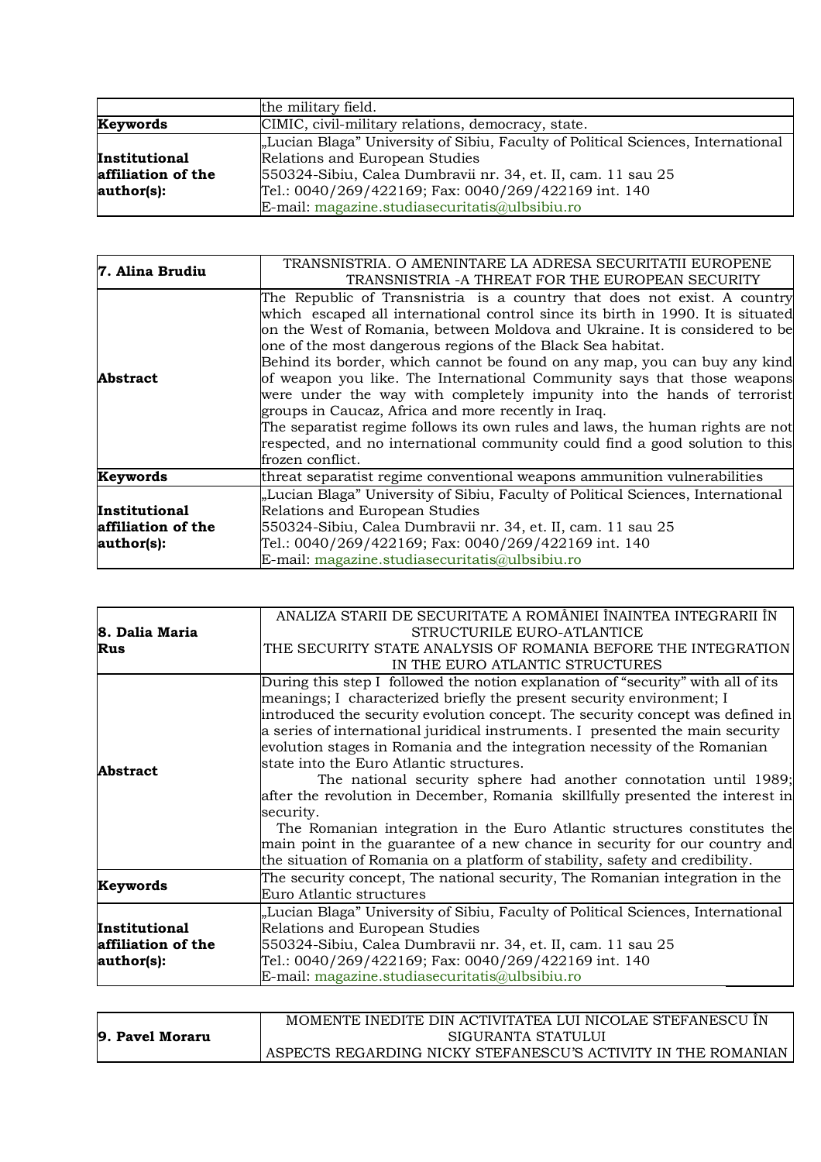|                    | the military field.                                                              |
|--------------------|----------------------------------------------------------------------------------|
| Keywords           | CIMIC, civil-military relations, democracy, state.                               |
|                    | "Lucian Blaga" University of Sibiu, Faculty of Political Sciences, International |
| Institutional      | Relations and European Studies                                                   |
| affiliation of the | 550324-Sibiu, Calea Dumbravii nr. 34, et. II, cam. 11 sau 25                     |
| author(s):         | Tel.: 0040/269/422169; Fax: 0040/269/422169 int. 140                             |
|                    | E-mail: magazine.studiasecuritatis@ulbsibiu.ro                                   |

| 7. Alina Brudiu                                   | TRANSNISTRIA. O AMENINTARE LA ADRESA SECURITATII EUROPENE<br>TRANSNISTRIA -A THREAT FOR THE EUROPEAN SECURITY                                                                                                                                                                                                                                                                                                                                                                                                                                                                                                                                                                                                                                                                             |
|---------------------------------------------------|-------------------------------------------------------------------------------------------------------------------------------------------------------------------------------------------------------------------------------------------------------------------------------------------------------------------------------------------------------------------------------------------------------------------------------------------------------------------------------------------------------------------------------------------------------------------------------------------------------------------------------------------------------------------------------------------------------------------------------------------------------------------------------------------|
| <b>Abstract</b>                                   | The Republic of Transnistria is a country that does not exist. A country<br>which escaped all international control since its birth in 1990. It is situated<br>on the West of Romania, between Moldova and Ukraine. It is considered to be<br>one of the most dangerous regions of the Black Sea habitat.<br>Behind its border, which cannot be found on any map, you can buy any kind<br>of weapon you like. The International Community says that those weapons<br>were under the way with completely impunity into the hands of terrorist<br>groups in Caucaz, Africa and more recently in Iraq.<br>The separatist regime follows its own rules and laws, the human rights are not<br>respected, and no international community could find a good solution to this<br>frozen conflict. |
| Keywords                                          | threat separatist regime conventional weapons ammunition vulnerabilities                                                                                                                                                                                                                                                                                                                                                                                                                                                                                                                                                                                                                                                                                                                  |
| Institutional<br>affiliation of the<br>author(s): | "Lucian Blaga" University of Sibiu, Faculty of Political Sciences, International<br>Relations and European Studies<br>550324-Sibiu, Calea Dumbravii nr. 34, et. II, cam. 11 sau 25<br>Tel.: 0040/269/422169; Fax: 0040/269/422169 int. 140<br>E-mail: magazine.studiasecuritatis@ulbsibiu.ro                                                                                                                                                                                                                                                                                                                                                                                                                                                                                              |

|                    | ANALIZA STARII DE SECURITATE A ROMÂNIEI ÎNAINTEA INTEGRARII ÎN                   |
|--------------------|----------------------------------------------------------------------------------|
| 8. Dalia Maria     | STRUCTURILE EURO-ATLANTICE                                                       |
| Rus                | THE SECURITY STATE ANALYSIS OF ROMANIA BEFORE THE INTEGRATION                    |
|                    | IN THE EURO ATLANTIC STRUCTURES                                                  |
|                    | During this step I followed the notion explanation of "security" with all of its |
|                    | meanings; I characterized briefly the present security environment; I            |
|                    | introduced the security evolution concept. The security concept was defined in   |
|                    | a series of international juridical instruments. I presented the main security   |
|                    | evolution stages in Romania and the integration necessity of the Romanian        |
| <b>Abstract</b>    | state into the Euro Atlantic structures.                                         |
|                    | The national security sphere had another connotation until 1989;                 |
|                    | after the revolution in December, Romania skillfully presented the interest in   |
|                    | security.                                                                        |
|                    | The Romanian integration in the Euro Atlantic structures constitutes the         |
|                    | main point in the guarantee of a new chance in security for our country and      |
|                    | the situation of Romania on a platform of stability, safety and credibility.     |
|                    | The security concept, The national security, The Romanian integration in the     |
| Keywords           | Euro Atlantic structures                                                         |
|                    | "Lucian Blaga" University of Sibiu, Faculty of Political Sciences, International |
| Institutional      | Relations and European Studies                                                   |
| affiliation of the | 550324-Sibiu, Calea Dumbravii nr. 34, et. II, cam. 11 sau 25                     |
| author(s):         | Tel.: 0040/269/422169; Fax: 0040/269/422169 int. 140                             |
|                    | E-mail: magazine.studiasecuritatis@ulbsibiu.ro                                   |
|                    |                                                                                  |

|                 | MOMENTE INEDITE DIN ACTIVITATEA LUI NICOLAE STEFANESCU ÎN         |
|-----------------|-------------------------------------------------------------------|
| 9. Pavel Moraru | SIGURANTA STATULUI                                                |
|                 | I ASPECTS REGARDING NICKY STEFANESCU'S ACTIVITY IN THE ROMANIAN ! |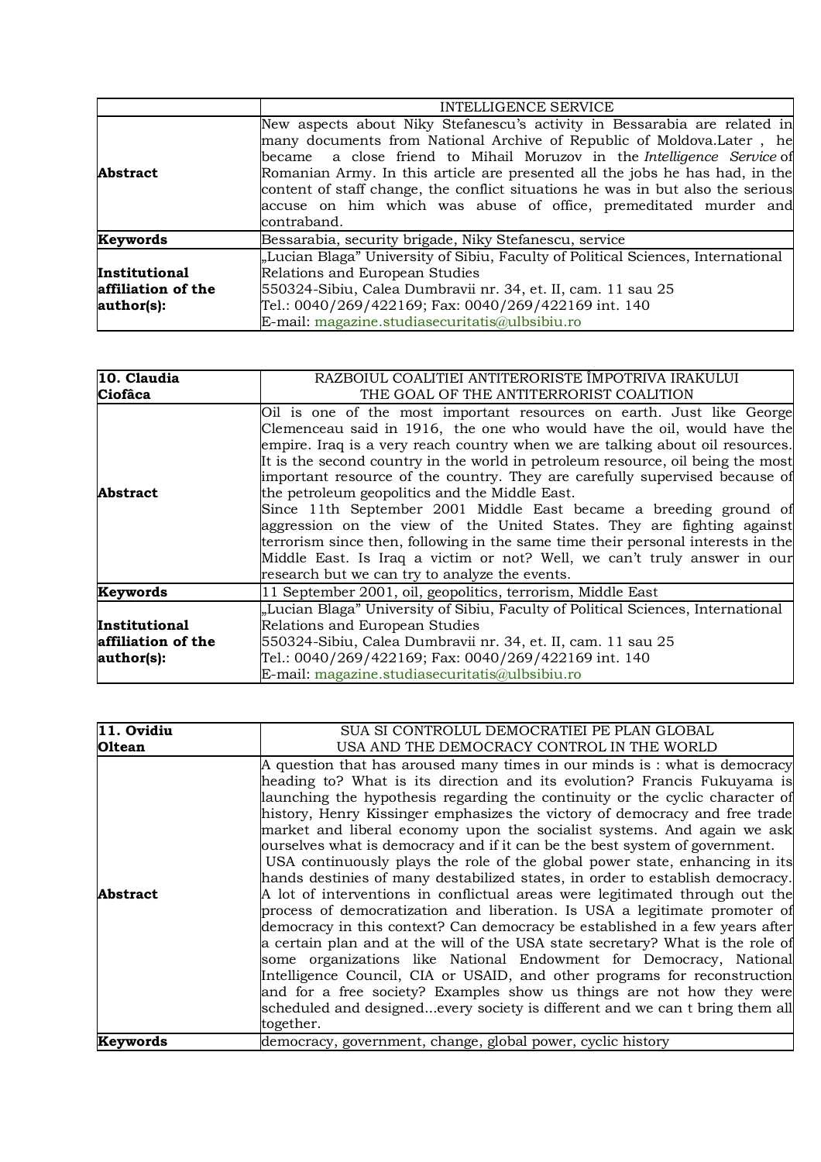|                                                   | INTELLIGENCE SERVICE                                                                                                                                                                                                                                                                                                                                                                                                                                                                |
|---------------------------------------------------|-------------------------------------------------------------------------------------------------------------------------------------------------------------------------------------------------------------------------------------------------------------------------------------------------------------------------------------------------------------------------------------------------------------------------------------------------------------------------------------|
| <b>Abstract</b>                                   | New aspects about Niky Stefanescu's activity in Bessarabia are related in<br>many documents from National Archive of Republic of Moldova. Later, he<br>became a close friend to Mihail Moruzov in the Intelligence Service of<br>Romanian Army. In this article are presented all the jobs he has had, in the<br>content of staff change, the conflict situations he was in but also the serious<br>accuse on him which was abuse of office, premeditated murder and<br>contraband. |
| Keywords                                          | Bessarabia, security brigade, Niky Stefanescu, service                                                                                                                                                                                                                                                                                                                                                                                                                              |
| Institutional<br>affiliation of the<br>author(s): | "Lucian Blaga" University of Sibiu, Faculty of Political Sciences, International<br>Relations and European Studies<br>550324-Sibiu, Calea Dumbravii nr. 34, et. II, cam. 11 sau 25<br>Tel.: 0040/269/422169; Fax: 0040/269/422169 int. 140<br>E-mail: magazine.studiasecuritatis@ulbsibiu.ro                                                                                                                                                                                        |

| 10. Claudia        | RAZBOIUL COALITIEI ANTITERORISTE ÎMPOTRIVA IRAKULUI                                                                                                                                                                                                                                                                                                                                                                                                                                                                                                                                                                                                                                                                                                                                                                    |
|--------------------|------------------------------------------------------------------------------------------------------------------------------------------------------------------------------------------------------------------------------------------------------------------------------------------------------------------------------------------------------------------------------------------------------------------------------------------------------------------------------------------------------------------------------------------------------------------------------------------------------------------------------------------------------------------------------------------------------------------------------------------------------------------------------------------------------------------------|
| <b>Ciofâca</b>     | THE GOAL OF THE ANTITERRORIST COALITION                                                                                                                                                                                                                                                                                                                                                                                                                                                                                                                                                                                                                                                                                                                                                                                |
| Abstract           | Oil is one of the most important resources on earth. Just like George<br>Clemenceau said in 1916, the one who would have the oil, would have the<br>empire. Iraq is a very reach country when we are talking about oil resources.<br>It is the second country in the world in petroleum resource, oil being the most<br>important resource of the country. They are carefully supervised because of<br>the petroleum geopolitics and the Middle East.<br>Since 11th September 2001 Middle East became a breeding ground of<br>aggression on the view of the United States. They are fighting against<br>terrorism since then, following in the same time their personal interests in the<br>Middle East. Is Iraq a victim or not? Well, we can't truly answer in our<br>research but we can try to analyze the events. |
| Keywords           | 11 September 2001, oil, geopolitics, terrorism, Middle East                                                                                                                                                                                                                                                                                                                                                                                                                                                                                                                                                                                                                                                                                                                                                            |
|                    | "Lucian Blaga" University of Sibiu, Faculty of Political Sciences, International                                                                                                                                                                                                                                                                                                                                                                                                                                                                                                                                                                                                                                                                                                                                       |
| Institutional      | Relations and European Studies                                                                                                                                                                                                                                                                                                                                                                                                                                                                                                                                                                                                                                                                                                                                                                                         |
| affiliation of the | 550324-Sibiu, Calea Dumbravii nr. 34, et. II, cam. 11 sau 25                                                                                                                                                                                                                                                                                                                                                                                                                                                                                                                                                                                                                                                                                                                                                           |
| author(s):         | Tel.: 0040/269/422169; Fax: 0040/269/422169 int. 140                                                                                                                                                                                                                                                                                                                                                                                                                                                                                                                                                                                                                                                                                                                                                                   |
|                    | E-mail: magazine.studiasecuritatis@ulbsibiu.ro                                                                                                                                                                                                                                                                                                                                                                                                                                                                                                                                                                                                                                                                                                                                                                         |

| 11. Ovidiu    | SUA SI CONTROLUL DEMOCRATIEI PE PLAN GLOBAL                                                                                                                                                                                                                                                                                                                                                                                                                                                                                                                                                                                                                                                                                                                                                                                                                                                                                                                                                                                                                                                                                                                                                                                                                                                              |
|---------------|----------------------------------------------------------------------------------------------------------------------------------------------------------------------------------------------------------------------------------------------------------------------------------------------------------------------------------------------------------------------------------------------------------------------------------------------------------------------------------------------------------------------------------------------------------------------------------------------------------------------------------------------------------------------------------------------------------------------------------------------------------------------------------------------------------------------------------------------------------------------------------------------------------------------------------------------------------------------------------------------------------------------------------------------------------------------------------------------------------------------------------------------------------------------------------------------------------------------------------------------------------------------------------------------------------|
| <b>Oltean</b> | USA AND THE DEMOCRACY CONTROL IN THE WORLD                                                                                                                                                                                                                                                                                                                                                                                                                                                                                                                                                                                                                                                                                                                                                                                                                                                                                                                                                                                                                                                                                                                                                                                                                                                               |
| Abstract      | A question that has aroused many times in our minds is : what is democracy<br>heading to? What is its direction and its evolution? Francis Fukuyama is<br>launching the hypothesis regarding the continuity or the cyclic character of<br>history, Henry Kissinger emphasizes the victory of democracy and free trade<br>market and liberal economy upon the socialist systems. And again we ask<br>ourselves what is democracy and if it can be the best system of government.<br>USA continuously plays the role of the global power state, enhancing in its<br>hands destinies of many destabilized states, in order to establish democracy.<br>A lot of interventions in conflictual areas were legitimated through out the<br>process of democratization and liberation. Is USA a legitimate promoter of<br>democracy in this context? Can democracy be established in a few years after<br>a certain plan and at the will of the USA state secretary? What is the role of<br>some organizations like National Endowment for Democracy, National<br>Intelligence Council, CIA or USAID, and other programs for reconstruction<br>and for a free society? Examples show us things are not how they were<br>scheduled and designedevery society is different and we can t bring them all<br>together. |
| Keywords      | democracy, government, change, global power, cyclic history                                                                                                                                                                                                                                                                                                                                                                                                                                                                                                                                                                                                                                                                                                                                                                                                                                                                                                                                                                                                                                                                                                                                                                                                                                              |